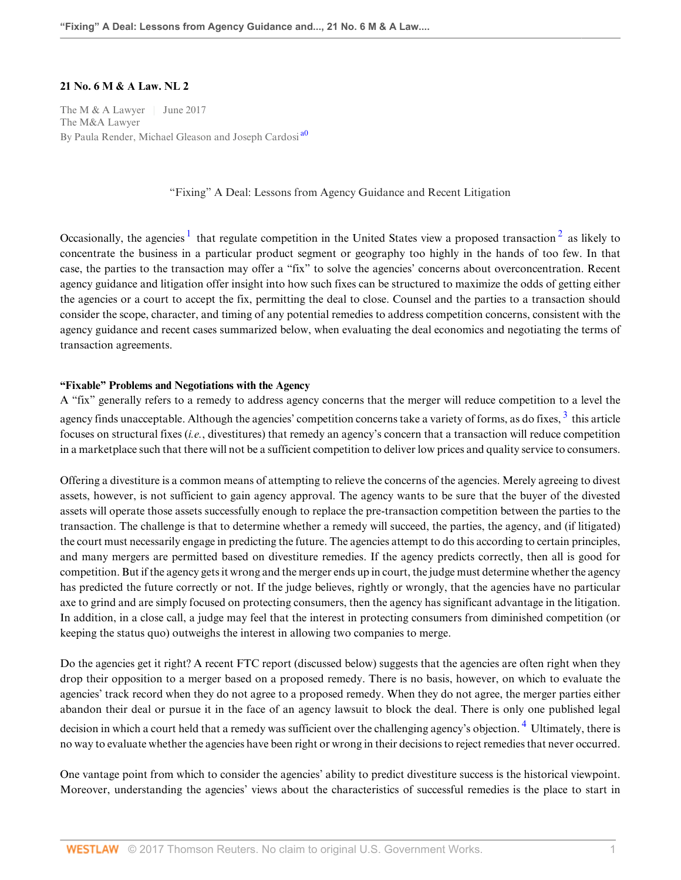### **21 No. 6 M & A Law. NL 2**

The M & A Lawyer | June 2017 The M&A Lawyer By Paula Render, Michael Gleason and Joseph Cardosi<sup>[a0](#page-6-0)</sup>

<span id="page-0-3"></span><span id="page-0-2"></span><span id="page-0-1"></span><span id="page-0-0"></span>"Fixing" A Deal: Lessons from Agency Guidance and Recent Litigation

Occasionally, the agencies  $1$  that regulate competition in the United States view a proposed transaction  $2$  as likely to concentrate the business in a particular product segment or geography too highly in the hands of too few. In that case, the parties to the transaction may offer a "fix" to solve the agencies' concerns about overconcentration. Recent agency guidance and litigation offer insight into how such fixes can be structured to maximize the odds of getting either the agencies or a court to accept the fix, permitting the deal to close. Counsel and the parties to a transaction should consider the scope, character, and timing of any potential remedies to address competition concerns, consistent with the agency guidance and recent cases summarized below, when evaluating the deal economics and negotiating the terms of transaction agreements.

## **"Fixable" Problems and Negotiations with the Agency**

A "fix" generally refers to a remedy to address agency concerns that the merger will reduce competition to a level the agency finds unacceptable. Although the agencies' competition concerns take a variety of forms, as do fixes,  $3$  this article focuses on structural fixes (*i.e.*, divestitures) that remedy an agency's concern that a transaction will reduce competition in a marketplace such that there will not be a sufficient competition to deliver low prices and quality service to consumers.

Offering a divestiture is a common means of attempting to relieve the concerns of the agencies. Merely agreeing to divest assets, however, is not sufficient to gain agency approval. The agency wants to be sure that the buyer of the divested assets will operate those assets successfully enough to replace the pre-transaction competition between the parties to the transaction. The challenge is that to determine whether a remedy will succeed, the parties, the agency, and (if litigated) the court must necessarily engage in predicting the future. The agencies attempt to do this according to certain principles, and many mergers are permitted based on divestiture remedies. If the agency predicts correctly, then all is good for competition. But if the agency gets it wrong and the merger ends up in court, the judge must determine whether the agency has predicted the future correctly or not. If the judge believes, rightly or wrongly, that the agencies have no particular axe to grind and are simply focused on protecting consumers, then the agency has significant advantage in the litigation. In addition, in a close call, a judge may feel that the interest in protecting consumers from diminished competition (or keeping the status quo) outweighs the interest in allowing two companies to merge.

Do the agencies get it right? A recent FTC report (discussed below) suggests that the agencies are often right when they drop their opposition to a merger based on a proposed remedy. There is no basis, however, on which to evaluate the agencies' track record when they do not agree to a proposed remedy. When they do not agree, the merger parties either abandon their deal or pursue it in the face of an agency lawsuit to block the deal. There is only one published legal decision in which a court held that a remedy was sufficient over the challenging agency's objection. <sup>[4](#page-6-4)</sup> Ultimately, there is no way to evaluate whether the agencies have been right or wrong in their decisions to reject remedies that never occurred.

<span id="page-0-4"></span>One vantage point from which to consider the agencies' ability to predict divestiture success is the historical viewpoint. Moreover, understanding the agencies' views about the characteristics of successful remedies is the place to start in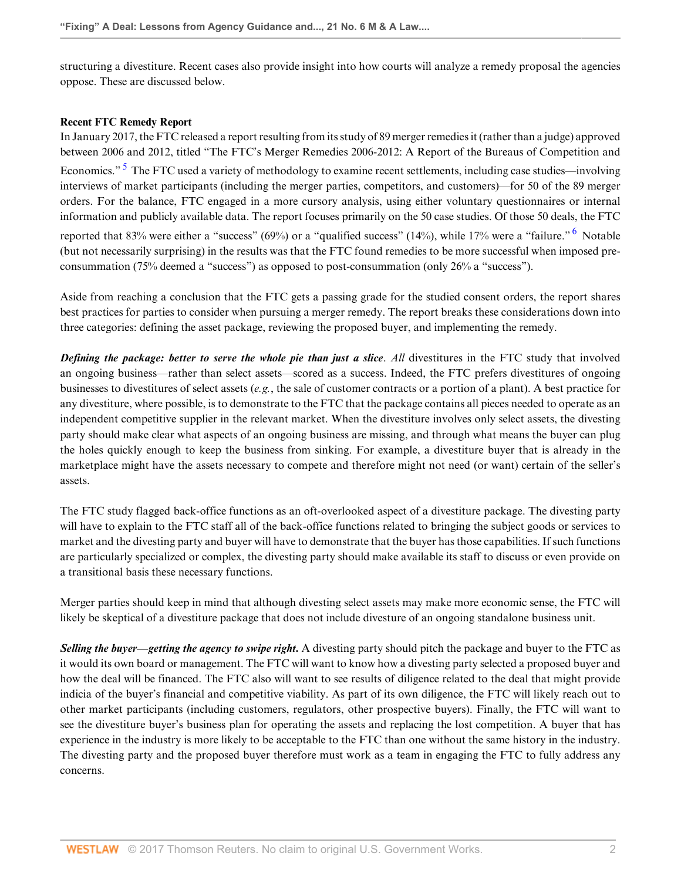structuring a divestiture. Recent cases also provide insight into how courts will analyze a remedy proposal the agencies oppose. These are discussed below.

### **Recent FTC Remedy Report**

<span id="page-1-0"></span>In January 2017, the FTC released a report resulting from its study of 89 merger remedies it (rather than a judge) approved between 2006 and 2012, titled "The FTC's Merger Remedies 2006-2012: A Report of the Bureaus of Competition and Economics."<sup>[5](#page-6-5)</sup> The FTC used a variety of methodology to examine recent settlements, including case studies—involving interviews of market participants (including the merger parties, competitors, and customers)—for 50 of the 89 merger orders. For the balance, FTC engaged in a more cursory analysis, using either voluntary questionnaires or internal information and publicly available data. The report focuses primarily on the 50 case studies. Of those 50 deals, the FTC reported that 83% were either a "success" ([6](#page-6-6)9%) or a "qualified success" (14%), while 17% were a "failure." <sup>6</sup> Notable (but not necessarily surprising) in the results was that the FTC found remedies to be more successful when imposed preconsummation (75% deemed a "success") as opposed to post-consummation (only 26% a "success").

<span id="page-1-1"></span>Aside from reaching a conclusion that the FTC gets a passing grade for the studied consent orders, the report shares best practices for parties to consider when pursuing a merger remedy. The report breaks these considerations down into three categories: defining the asset package, reviewing the proposed buyer, and implementing the remedy.

*Defining the package: better to serve the whole pie than just a slice*. *All* divestitures in the FTC study that involved an ongoing business—rather than select assets—scored as a success. Indeed, the FTC prefers divestitures of ongoing businesses to divestitures of select assets (*e.g.*, the sale of customer contracts or a portion of a plant). A best practice for any divestiture, where possible, is to demonstrate to the FTC that the package contains all pieces needed to operate as an independent competitive supplier in the relevant market. When the divestiture involves only select assets, the divesting party should make clear what aspects of an ongoing business are missing, and through what means the buyer can plug the holes quickly enough to keep the business from sinking. For example, a divestiture buyer that is already in the marketplace might have the assets necessary to compete and therefore might not need (or want) certain of the seller's assets.

The FTC study flagged back-office functions as an oft-overlooked aspect of a divestiture package. The divesting party will have to explain to the FTC staff all of the back-office functions related to bringing the subject goods or services to market and the divesting party and buyer will have to demonstrate that the buyer has those capabilities. If such functions are particularly specialized or complex, the divesting party should make available its staff to discuss or even provide on a transitional basis these necessary functions.

Merger parties should keep in mind that although divesting select assets may make more economic sense, the FTC will likely be skeptical of a divestiture package that does not include divesture of an ongoing standalone business unit.

*Selling the buyer—getting the agency to swipe right.* A divesting party should pitch the package and buyer to the FTC as it would its own board or management. The FTC will want to know how a divesting party selected a proposed buyer and how the deal will be financed. The FTC also will want to see results of diligence related to the deal that might provide indicia of the buyer's financial and competitive viability. As part of its own diligence, the FTC will likely reach out to other market participants (including customers, regulators, other prospective buyers). Finally, the FTC will want to see the divestiture buyer's business plan for operating the assets and replacing the lost competition. A buyer that has experience in the industry is more likely to be acceptable to the FTC than one without the same history in the industry. The divesting party and the proposed buyer therefore must work as a team in engaging the FTC to fully address any concerns.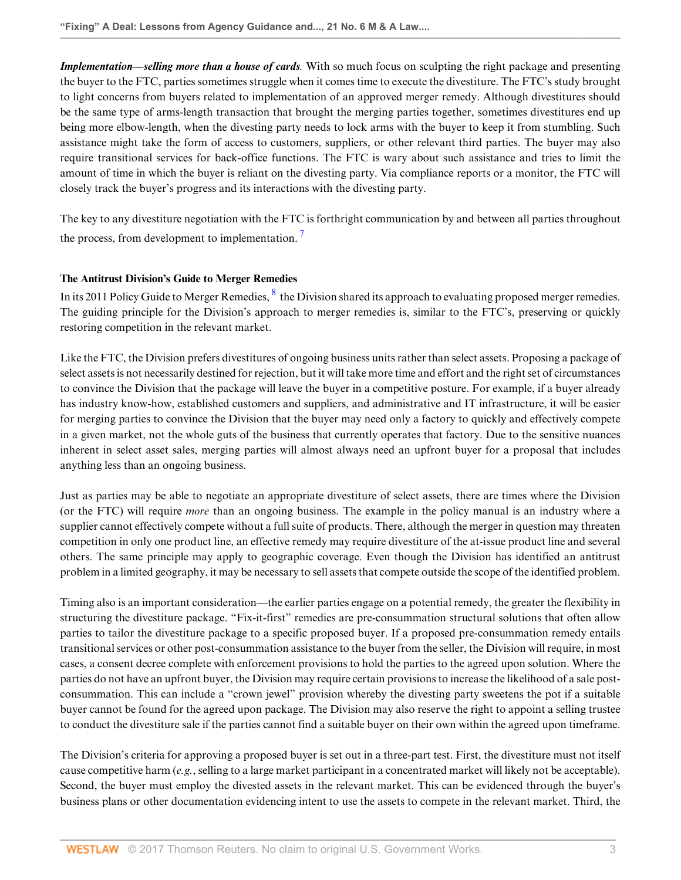*Implementation—selling more than a house of cards.* With so much focus on sculpting the right package and presenting the buyer to the FTC, parties sometimes struggle when it comes time to execute the divestiture. The FTC's study brought to light concerns from buyers related to implementation of an approved merger remedy. Although divestitures should be the same type of arms-length transaction that brought the merging parties together, sometimes divestitures end up being more elbow-length, when the divesting party needs to lock arms with the buyer to keep it from stumbling. Such assistance might take the form of access to customers, suppliers, or other relevant third parties. The buyer may also require transitional services for back-office functions. The FTC is wary about such assistance and tries to limit the amount of time in which the buyer is reliant on the divesting party. Via compliance reports or a monitor, the FTC will closely track the buyer's progress and its interactions with the divesting party.

<span id="page-2-0"></span>The key to any divestiture negotiation with the FTC is forthright communication by and between all parties throughout the process, from development to implementation.<sup>[7](#page-7-0)</sup>

# **The Antitrust Division's Guide to Merger Remedies**

<span id="page-2-1"></span>In its 2011 Policy Guide to Merger Remedies,  $\frac{8}{3}$  $\frac{8}{3}$  $\frac{8}{3}$  the Division shared its approach to evaluating proposed merger remedies. The guiding principle for the Division's approach to merger remedies is, similar to the FTC's, preserving or quickly restoring competition in the relevant market.

Like the FTC, the Division prefers divestitures of ongoing business units rather than select assets. Proposing a package of select assets is not necessarily destined for rejection, but it will take more time and effort and the right set of circumstances to convince the Division that the package will leave the buyer in a competitive posture. For example, if a buyer already has industry know-how, established customers and suppliers, and administrative and IT infrastructure, it will be easier for merging parties to convince the Division that the buyer may need only a factory to quickly and effectively compete in a given market, not the whole guts of the business that currently operates that factory. Due to the sensitive nuances inherent in select asset sales, merging parties will almost always need an upfront buyer for a proposal that includes anything less than an ongoing business.

Just as parties may be able to negotiate an appropriate divestiture of select assets, there are times where the Division (or the FTC) will require *more* than an ongoing business. The example in the policy manual is an industry where a supplier cannot effectively compete without a full suite of products. There, although the merger in question may threaten competition in only one product line, an effective remedy may require divestiture of the at-issue product line and several others. The same principle may apply to geographic coverage. Even though the Division has identified an antitrust problem in a limited geography, it may be necessary to sell assets that compete outside the scope of the identified problem.

Timing also is an important consideration—the earlier parties engage on a potential remedy, the greater the flexibility in structuring the divestiture package. "Fix-it-first" remedies are pre-consummation structural solutions that often allow parties to tailor the divestiture package to a specific proposed buyer. If a proposed pre-consummation remedy entails transitional services or other post-consummation assistance to the buyer from the seller, the Division will require, in most cases, a consent decree complete with enforcement provisions to hold the parties to the agreed upon solution. Where the parties do not have an upfront buyer, the Division may require certain provisions to increase the likelihood of a sale postconsummation. This can include a "crown jewel" provision whereby the divesting party sweetens the pot if a suitable buyer cannot be found for the agreed upon package. The Division may also reserve the right to appoint a selling trustee to conduct the divestiture sale if the parties cannot find a suitable buyer on their own within the agreed upon timeframe.

The Division's criteria for approving a proposed buyer is set out in a three-part test. First, the divestiture must not itself cause competitive harm (*e.g.*, selling to a large market participant in a concentrated market will likely not be acceptable). Second, the buyer must employ the divested assets in the relevant market. This can be evidenced through the buyer's business plans or other documentation evidencing intent to use the assets to compete in the relevant market. Third, the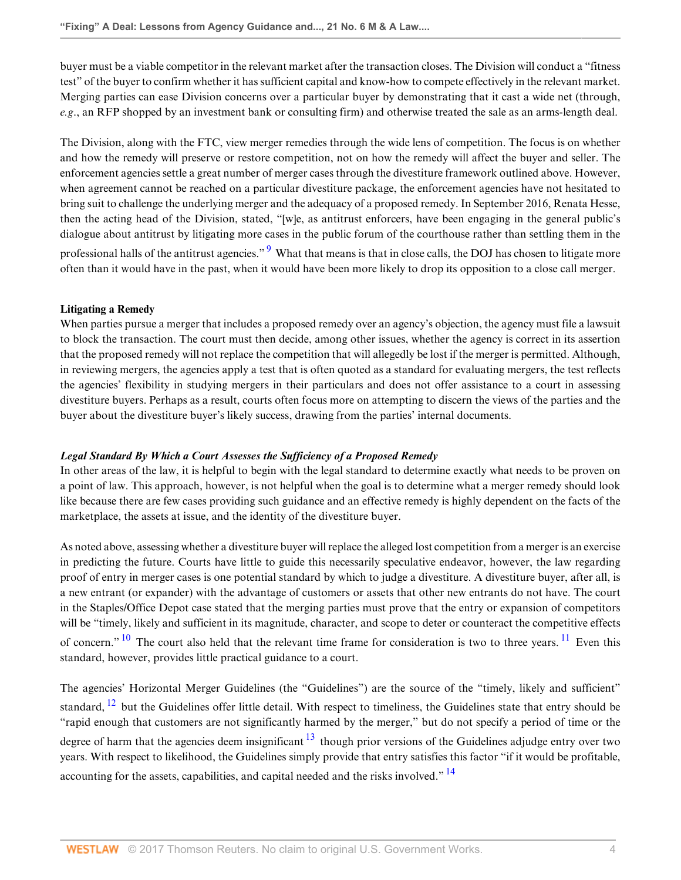buyer must be a viable competitor in the relevant market after the transaction closes. The Division will conduct a "fitness test" of the buyer to confirm whether it has sufficient capital and know-how to compete effectively in the relevant market. Merging parties can ease Division concerns over a particular buyer by demonstrating that it cast a wide net (through, *e.g*., an RFP shopped by an investment bank or consulting firm) and otherwise treated the sale as an arms-length deal.

The Division, along with the FTC, view merger remedies through the wide lens of competition. The focus is on whether and how the remedy will preserve or restore competition, not on how the remedy will affect the buyer and seller. The enforcement agencies settle a great number of merger cases through the divestiture framework outlined above. However, when agreement cannot be reached on a particular divestiture package, the enforcement agencies have not hesitated to bring suit to challenge the underlying merger and the adequacy of a proposed remedy. In September 2016, Renata Hesse, then the acting head of the Division, stated, "[w]e, as antitrust enforcers, have been engaging in the general public's dialogue about antitrust by litigating more cases in the public forum of the courthouse rather than settling them in the professional halls of the antitrust agencies."<sup>[9](#page-7-2)</sup> What that means is that in close calls, the DOJ has chosen to litigate more often than it would have in the past, when it would have been more likely to drop its opposition to a close call merger.

# <span id="page-3-0"></span>**Litigating a Remedy**

When parties pursue a merger that includes a proposed remedy over an agency's objection, the agency must file a lawsuit to block the transaction. The court must then decide, among other issues, whether the agency is correct in its assertion that the proposed remedy will not replace the competition that will allegedly be lost if the merger is permitted. Although, in reviewing mergers, the agencies apply a test that is often quoted as a standard for evaluating mergers, the test reflects the agencies' flexibility in studying mergers in their particulars and does not offer assistance to a court in assessing divestiture buyers. Perhaps as a result, courts often focus more on attempting to discern the views of the parties and the buyer about the divestiture buyer's likely success, drawing from the parties' internal documents.

# *Legal Standard By Which a Court Assesses the Sufficiency of a Proposed Remedy*

In other areas of the law, it is helpful to begin with the legal standard to determine exactly what needs to be proven on a point of law. This approach, however, is not helpful when the goal is to determine what a merger remedy should look like because there are few cases providing such guidance and an effective remedy is highly dependent on the facts of the marketplace, the assets at issue, and the identity of the divestiture buyer.

As noted above, assessing whether a divestiture buyer will replace the alleged lost competition from a merger is an exercise in predicting the future. Courts have little to guide this necessarily speculative endeavor, however, the law regarding proof of entry in merger cases is one potential standard by which to judge a divestiture. A divestiture buyer, after all, is a new entrant (or expander) with the advantage of customers or assets that other new entrants do not have. The court in the Staples/Office Depot case stated that the merging parties must prove that the entry or expansion of competitors will be "timely, likely and sufficient in its magnitude, character, and scope to deter or counteract the competitive effects of concern." <sup>[10](#page-7-3)</sup> The court also held that the relevant time frame for consideration is two to three years. <sup>[11](#page-7-4)</sup> Even this standard, however, provides little practical guidance to a court.

<span id="page-3-5"></span><span id="page-3-4"></span><span id="page-3-3"></span><span id="page-3-2"></span><span id="page-3-1"></span>The agencies' Horizontal Merger Guidelines (the "Guidelines") are the source of the "timely, likely and sufficient" standard,  $^{12}$  $^{12}$  $^{12}$  but the Guidelines offer little detail. With respect to timeliness, the Guidelines state that entry should be "rapid enough that customers are not significantly harmed by the merger," but do not specify a period of time or the degree of harm that the agencies deem insignificant  $13$  though prior versions of the Guidelines adjudge entry over two years. With respect to likelihood, the Guidelines simply provide that entry satisfies this factor "if it would be profitable, accounting for the assets, capabilities, and capital needed and the risks involved."  $\frac{14}{14}$  $\frac{14}{14}$  $\frac{14}{14}$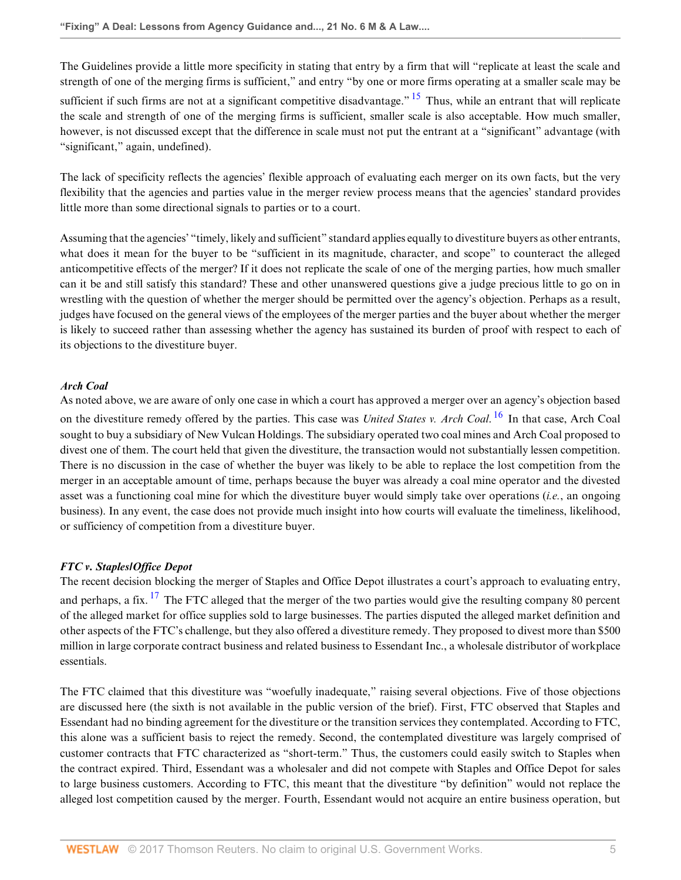The Guidelines provide a little more specificity in stating that entry by a firm that will "replicate at least the scale and strength of one of the merging firms is sufficient," and entry "by one or more firms operating at a smaller scale may be

<span id="page-4-0"></span>sufficient if such firms are not at a significant competitive disadvantage."  $15$  Thus, while an entrant that will replicate the scale and strength of one of the merging firms is sufficient, smaller scale is also acceptable. How much smaller, however, is not discussed except that the difference in scale must not put the entrant at a "significant" advantage (with "significant," again, undefined).

The lack of specificity reflects the agencies' flexible approach of evaluating each merger on its own facts, but the very flexibility that the agencies and parties value in the merger review process means that the agencies' standard provides little more than some directional signals to parties or to a court.

Assuming that the agencies' "timely, likely and sufficient" standard applies equally to divestiture buyers as other entrants, what does it mean for the buyer to be "sufficient in its magnitude, character, and scope" to counteract the alleged anticompetitive effects of the merger? If it does not replicate the scale of one of the merging parties, how much smaller can it be and still satisfy this standard? These and other unanswered questions give a judge precious little to go on in wrestling with the question of whether the merger should be permitted over the agency's objection. Perhaps as a result, judges have focused on the general views of the employees of the merger parties and the buyer about whether the merger is likely to succeed rather than assessing whether the agency has sustained its burden of proof with respect to each of its objections to the divestiture buyer.

# *Arch Coal*

<span id="page-4-1"></span>As noted above, we are aware of only one case in which a court has approved a merger over an agency's objection based on the divestiture remedy offered by the parties. This case was *United States v. Arch Coal*. [16](#page-7-9) In that case, Arch Coal sought to buy a subsidiary of New Vulcan Holdings. The subsidiary operated two coal mines and Arch Coal proposed to divest one of them. The court held that given the divestiture, the transaction would not substantially lessen competition. There is no discussion in the case of whether the buyer was likely to be able to replace the lost competition from the merger in an acceptable amount of time, perhaps because the buyer was already a coal mine operator and the divested asset was a functioning coal mine for which the divestiture buyer would simply take over operations (*i.e.*, an ongoing business). In any event, the case does not provide much insight into how courts will evaluate the timeliness, likelihood, or sufficiency of competition from a divestiture buyer.

# *FTC v. Staples/Office Depot*

<span id="page-4-2"></span>The recent decision blocking the merger of Staples and Office Depot illustrates a court's approach to evaluating entry, and perhaps, a fix.  $^{17}$  $^{17}$  $^{17}$  The FTC alleged that the merger of the two parties would give the resulting company 80 percent of the alleged market for office supplies sold to large businesses. The parties disputed the alleged market definition and other aspects of the FTC's challenge, but they also offered a divestiture remedy. They proposed to divest more than \$500 million in large corporate contract business and related business to Essendant Inc., a wholesale distributor of workplace essentials.

The FTC claimed that this divestiture was "woefully inadequate," raising several objections. Five of those objections are discussed here (the sixth is not available in the public version of the brief). First, FTC observed that Staples and Essendant had no binding agreement for the divestiture or the transition services they contemplated. According to FTC, this alone was a sufficient basis to reject the remedy. Second, the contemplated divestiture was largely comprised of customer contracts that FTC characterized as "short-term." Thus, the customers could easily switch to Staples when the contract expired. Third, Essendant was a wholesaler and did not compete with Staples and Office Depot for sales to large business customers. According to FTC, this meant that the divestiture "by definition" would not replace the alleged lost competition caused by the merger. Fourth, Essendant would not acquire an entire business operation, but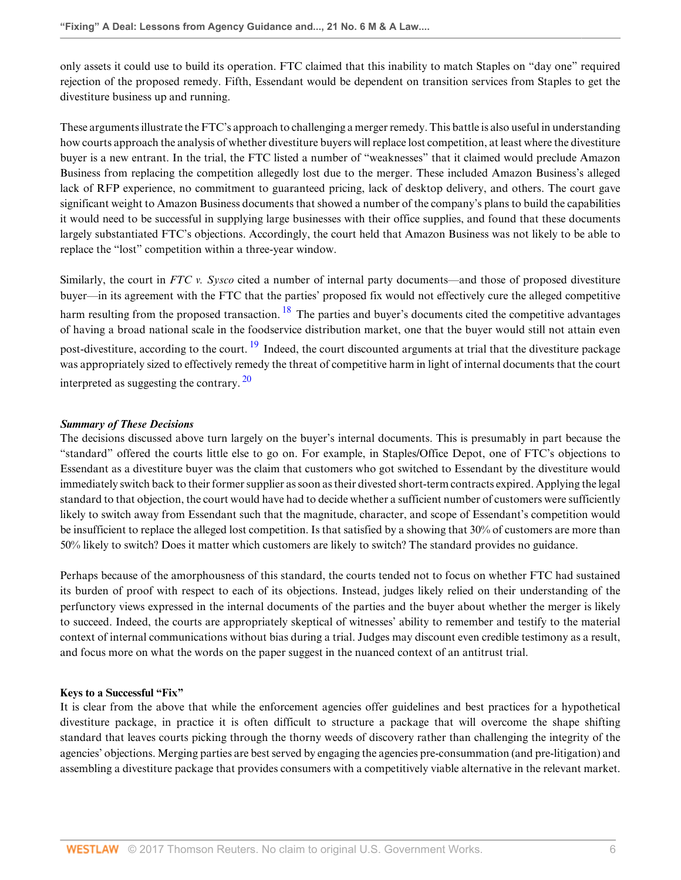only assets it could use to build its operation. FTC claimed that this inability to match Staples on "day one" required rejection of the proposed remedy. Fifth, Essendant would be dependent on transition services from Staples to get the divestiture business up and running.

These arguments illustrate the FTC's approach to challenging a merger remedy. This battle is also useful in understanding how courts approach the analysis of whether divestiture buyers will replace lost competition, at least where the divestiture buyer is a new entrant. In the trial, the FTC listed a number of "weaknesses" that it claimed would preclude Amazon Business from replacing the competition allegedly lost due to the merger. These included Amazon Business's alleged lack of RFP experience, no commitment to guaranteed pricing, lack of desktop delivery, and others. The court gave significant weight to Amazon Business documents that showed a number of the company's plans to build the capabilities it would need to be successful in supplying large businesses with their office supplies, and found that these documents largely substantiated FTC's objections. Accordingly, the court held that Amazon Business was not likely to be able to replace the "lost" competition within a three-year window.

<span id="page-5-1"></span><span id="page-5-0"></span>Similarly, the court in *FTC v. Sysco* cited a number of internal party documents—and those of proposed divestiture buyer—in its agreement with the FTC that the parties' proposed fix would not effectively cure the alleged competitive harm resulting from the proposed transaction.  $^{18}$  $^{18}$  $^{18}$  The parties and buyer's documents cited the competitive advantages of having a broad national scale in the foodservice distribution market, one that the buyer would still not attain even post-divestiture, according to the court. <sup>[19](#page-7-12)</sup> Indeed, the court discounted arguments at trial that the divestiture package was appropriately sized to effectively remedy the threat of competitive harm in light of internal documents that the court interpreted as suggesting the contrary.  $20$ 

# <span id="page-5-2"></span>*Summary of These Decisions*

The decisions discussed above turn largely on the buyer's internal documents. This is presumably in part because the "standard" offered the courts little else to go on. For example, in Staples/Office Depot, one of FTC's objections to Essendant as a divestiture buyer was the claim that customers who got switched to Essendant by the divestiture would immediately switch back to their former supplier as soon as their divested short-term contracts expired. Applying the legal standard to that objection, the court would have had to decide whether a sufficient number of customers were sufficiently likely to switch away from Essendant such that the magnitude, character, and scope of Essendant's competition would be insufficient to replace the alleged lost competition. Is that satisfied by a showing that 30% of customers are more than 50% likely to switch? Does it matter which customers are likely to switch? The standard provides no guidance.

Perhaps because of the amorphousness of this standard, the courts tended not to focus on whether FTC had sustained its burden of proof with respect to each of its objections. Instead, judges likely relied on their understanding of the perfunctory views expressed in the internal documents of the parties and the buyer about whether the merger is likely to succeed. Indeed, the courts are appropriately skeptical of witnesses' ability to remember and testify to the material context of internal communications without bias during a trial. Judges may discount even credible testimony as a result, and focus more on what the words on the paper suggest in the nuanced context of an antitrust trial.

# **Keys to a Successful "Fix"**

It is clear from the above that while the enforcement agencies offer guidelines and best practices for a hypothetical divestiture package, in practice it is often difficult to structure a package that will overcome the shape shifting standard that leaves courts picking through the thorny weeds of discovery rather than challenging the integrity of the agencies' objections. Merging parties are best served by engaging the agencies pre-consummation (and pre-litigation) and assembling a divestiture package that provides consumers with a competitively viable alternative in the relevant market.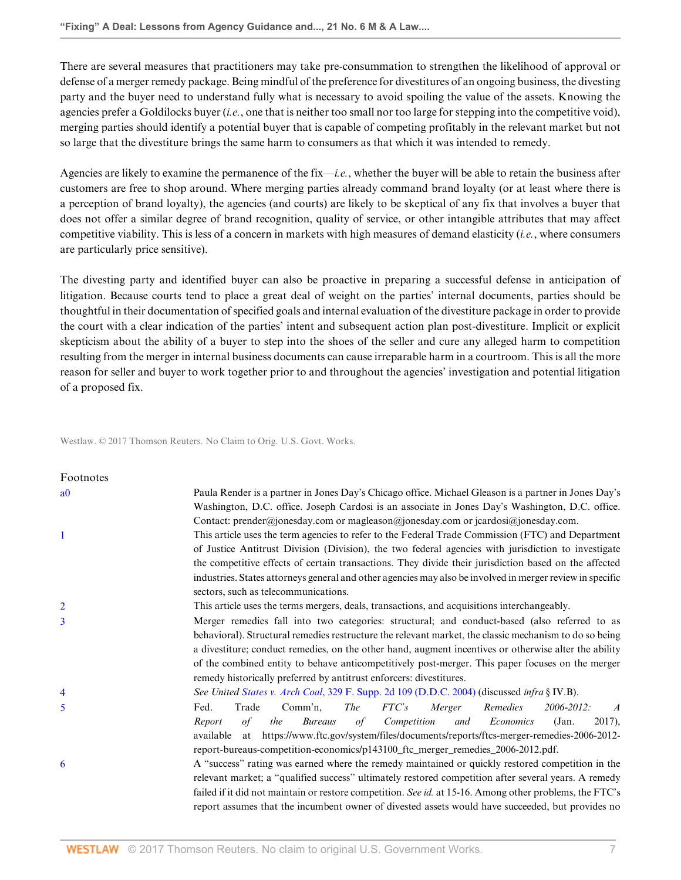There are several measures that practitioners may take pre-consummation to strengthen the likelihood of approval or defense of a merger remedy package. Being mindful of the preference for divestitures of an ongoing business, the divesting party and the buyer need to understand fully what is necessary to avoid spoiling the value of the assets. Knowing the agencies prefer a Goldilocks buyer (*i.e.*, one that is neither too small nor too large for stepping into the competitive void), merging parties should identify a potential buyer that is capable of competing profitably in the relevant market but not so large that the divestiture brings the same harm to consumers as that which it was intended to remedy.

Agencies are likely to examine the permanence of the fix—*i.e.*, whether the buyer will be able to retain the business after customers are free to shop around. Where merging parties already command brand loyalty (or at least where there is a perception of brand loyalty), the agencies (and courts) are likely to be skeptical of any fix that involves a buyer that does not offer a similar degree of brand recognition, quality of service, or other intangible attributes that may affect competitive viability. This is less of a concern in markets with high measures of demand elasticity (*i.e.*, where consumers are particularly price sensitive).

The divesting party and identified buyer can also be proactive in preparing a successful defense in anticipation of litigation. Because courts tend to place a great deal of weight on the parties' internal documents, parties should be thoughtful in their documentation of specified goals and internal evaluation of the divestiture package in order to provide the court with a clear indication of the parties' intent and subsequent action plan post-divestiture. Implicit or explicit skepticism about the ability of a buyer to step into the shoes of the seller and cure any alleged harm to competition resulting from the merger in internal business documents can cause irreparable harm in a courtroom. This is all the more reason for seller and buyer to work together prior to and throughout the agencies' investigation and potential litigation of a proposed fix.

Westlaw. © 2017 Thomson Reuters. No Claim to Orig. U.S. Govt. Works.

<span id="page-6-6"></span><span id="page-6-5"></span><span id="page-6-4"></span><span id="page-6-3"></span><span id="page-6-2"></span><span id="page-6-1"></span><span id="page-6-0"></span>

| Footnotes      |                                                                                                                                                                                                                                                                                                                                                                                                                                                                                            |
|----------------|--------------------------------------------------------------------------------------------------------------------------------------------------------------------------------------------------------------------------------------------------------------------------------------------------------------------------------------------------------------------------------------------------------------------------------------------------------------------------------------------|
| a <sub>0</sub> | Paula Render is a partner in Jones Day's Chicago office. Michael Gleason is a partner in Jones Day's<br>Washington, D.C. office. Joseph Cardosi is an associate in Jones Day's Washington, D.C. office.<br>Contact: prender@jonesday.com or magleason@jonesday.com or jcardosi@jonesday.com.                                                                                                                                                                                               |
| $\mathbf{1}$   | This article uses the term agencies to refer to the Federal Trade Commission (FTC) and Department<br>of Justice Antitrust Division (Division), the two federal agencies with jurisdiction to investigate<br>the competitive effects of certain transactions. They divide their jurisdiction based on the affected<br>industries. States attorneys general and other agencies may also be involved in merger review in specific                                                             |
|                | sectors, such as telecommunications.                                                                                                                                                                                                                                                                                                                                                                                                                                                       |
| $\overline{2}$ | This article uses the terms mergers, deals, transactions, and acquisitions interchangeably.                                                                                                                                                                                                                                                                                                                                                                                                |
| 3              | Merger remedies fall into two categories: structural; and conduct-based (also referred to as<br>behavioral). Structural remedies restructure the relevant market, the classic mechanism to do so being<br>a divestiture; conduct remedies, on the other hand, augment incentives or otherwise alter the ability<br>of the combined entity to behave anticompetitively post-merger. This paper focuses on the merger<br>remedy historically preferred by antitrust enforcers: divestitures. |
| 4              | See United States v. Arch Coal, 329 F. Supp. 2d 109 (D.D.C. 2004) (discussed infra § IV.B).                                                                                                                                                                                                                                                                                                                                                                                                |
| 5              | FTC's<br>Remedies<br>Trade<br>Comm'n,<br><i>The</i><br>Merger<br>Fed.<br>2006-2012:<br>$\boldsymbol{A}$<br>of Competition<br>$2017$ ),<br>$\sigma f$<br>the<br><b>Bureaus</b><br>and<br>Economics<br>(Jan.<br>Report<br>at https://www.ftc.gov/system/files/documents/reports/ftcs-merger-remedies-2006-2012-<br>available<br>report-bureaus-competition-economics/p143100_ftc_merger_remedies_2006-2012.pdf.                                                                              |
| 6              | A "success" rating was earned where the remedy maintained or quickly restored competition in the<br>relevant market; a "qualified success" ultimately restored competition after several years. A remedy<br>failed if it did not maintain or restore competition. See id. at 15-16. Among other problems, the FTC's<br>report assumes that the incumbent owner of divested assets would have succeeded, but provides no                                                                    |